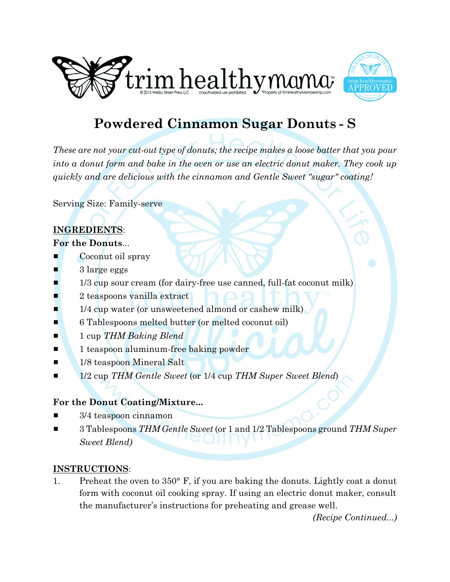



# **Powdered Cinnamon Sugar Donuts - S**

*These are not your cut-out type of donuts; the recipe makes a loose batter that you pour into a donut form and bake in the oven or use an electric donut maker. They cook up quickly and are delicious with the cinnamon and Gentle Sweet "sugar" coating!*

Serving Size: Family-serve

## **INGREDIENTS**:

#### **For the Donuts**...

- Coconut oil spray
- 3 large eggs
- 1/3 cup sour cream (for dairy-free use canned, full-fat coconut milk)
- 2 teaspoons vanilla extract
- $\blacksquare$  1/4 cup water (or unsweetened almond or cashew milk)
- **6** 6 Tablespoons melted butter (or melted coconut oil)
- **1** 1 cup *THM Baking Blend*
- **1** 1 teaspoon aluminum-free baking powder
- **1/8 teaspoon Mineral Salt**
- 1/2 cup *THM Gentle Sweet* (or 1/4 cup *THM Super Sweet Blend*)

### **For the Donut Coating/Mixture...**

- $3/4$  teaspoon cinnamon
- # 3 Tablespoons *THM Gentle Sweet* (or 1 and 1/2 Tablespoons ground *THM Super Sweet Blend)*

#### **INSTRUCTIONS**:

1. Preheat the oven to 350° F, if you are baking the donuts. Lightly coat a donut form with coconut oil cooking spray. If using an electric donut maker, consult the manufacturer's instructions for preheating and grease well.

*(Recipe Continued...)*